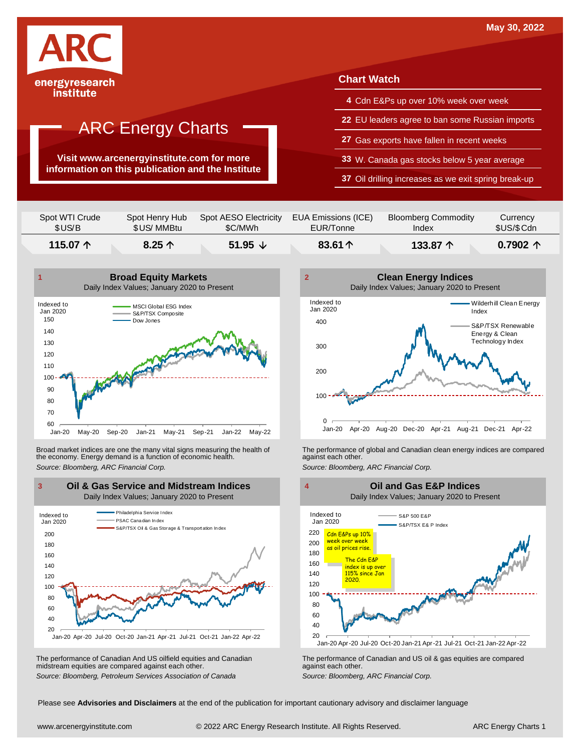

**Visit www.arcenergyinstitute.com for more information on this publication and the Institute**

#### **Chart Watch**

- **4** Cdn E&Ps up over 10% week over week
- **22** EU leaders agree to ban some Russian imports
- **27** Gas exports have fallen in recent weeks
- **33** W. Canada gas stocks below 5 year average
- **37** Oil drilling increases as we exit spring break-up

| Spot WTI Crude    | Spot Henry Hub  | Spot AESO Electricity | EUA Emissions (ICE) | <b>Bloomberg Commodity</b> | Currency          |
|-------------------|-----------------|-----------------------|---------------------|----------------------------|-------------------|
| \$US/B            | \$US/MMBtu      | \$C/MWh               | EUR/Tonne           | Index                      | \$US/\$ Cdn       |
| 115.07 $\uparrow$ | 8.25 $\uparrow$ | 51.95 $\sqrt{ }$      | 83.61 $\uparrow$    | 133.87 个                   | 0.7902 $\uparrow$ |



Broad market indices are one the many vital signs measuring the health of the economy. Energy demand is a function of economic health. Broad market indices are one the many vital signs measuring the health of The performance of global and Canadian clean energy indices are compared<br>the economy. Energy demand is a function of economic health.<br>Source: Bloomb



The performance of Canadian And US oilfield equities and Canadian midstream equities are compared against each other. The performance of Canadian And US oilfield equities and Canadian **Frank Constant Prank Constant Prank Constant**<br>The performance of Canadian and US oil & gas equities are compared<br>Source: Bloomberg, Petroleum Services Asso





Please see **Advisories and Disclaimers** at the end of the publication for important cautionary advisory and disclaimer language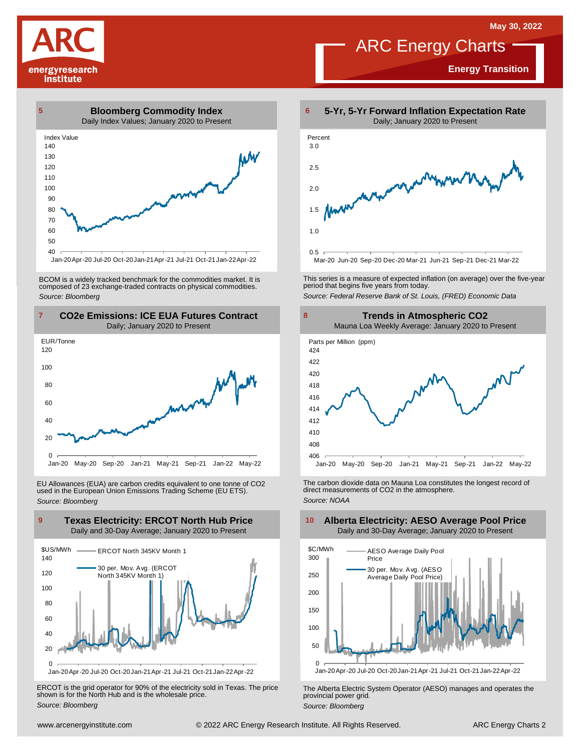**Energy Transition**

# ARC Energy Charts









BCOM is <sup>a</sup> widely tracked benchmark for the commodities market. It is composed of <sup>23</sup> exchange-traded contracts on physical commodities. *Source: Bloomberg*



EU Allowances (EUA) are carbon credits equivalent to one tonne of CO2 used in the European Union Emissions Trading Scheme (EU ETS). *Source: Bloomberg*



ERCOT is the grid operator for 90% of the electricity sold in Texas. The price shown is for the North Hub and is the wholesale price. *Source: Bloomberg*



This series is <sup>a</sup> measure of expected inflation (on average) over the five-year period that begins five years from today. *Source: Federal Reserve Bank of St. Louis, (FRED) Economic Data*



The carbon dioxide data on Mauna Loa constitutes the longest record of direct measurements of CO2 in the atmosphere. *Source: NOAA*



The Alberta Electric System Operator (AESO) manages and operates the provincial power grid. *Source: Bloomberg*

#### **Alberta Electricity: AESO Average Pool Price** Daily and 30-Day Average; January 2020 to Present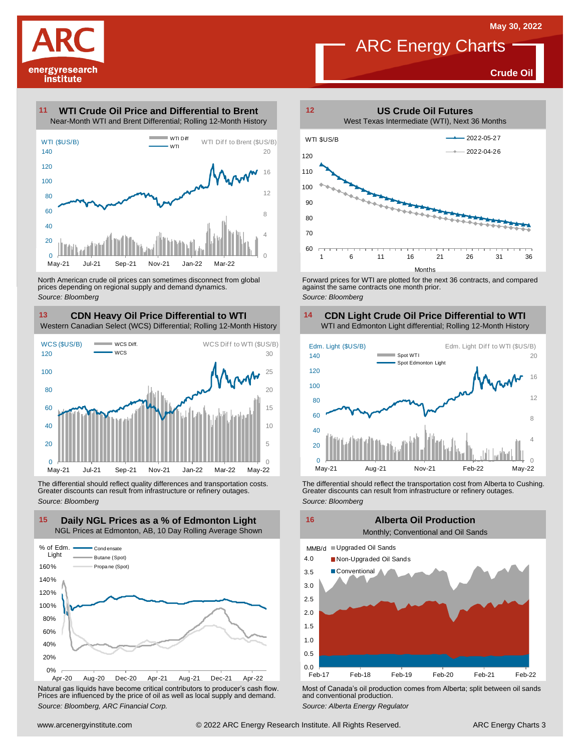

**Crude Oil**

#### **WTI Crude Oil Price and Differential to Brent 11**



North American crude oil prices can sometimes disconnect from global prices depending on regional supply and demand dynamics. *Source: Bloomberg*

### **CDN Heavy Oil Price Differential to WTI 13 14** Western Canadian Select (WCS) Differential; Rolling 12-Month History **13 CDN Heavy Oil Price Differential to WTI**<br>Western Canadian Select (WCS) Differential; Rolling 12-Month History<br>WCS (\$US/B) was biff. WCS Diff to WTI (\$US/B)<br>120 was



The differential should reflect quality differences and transportation costs. Greater discounts can result from infrastructure or refinery outages. *Source: Bloomberg*



Natural gas liquids have become critical contributors to producer's cash flow. Most of Canada's oil production comes from Alberta; split between oil sands<br>Prices are influenced by the price of oil as well as local supply a



Forward prices for WTI are plotted for the next 36 contracts, and compared against the same contracts one month prior. *Source: Bloomberg*

### **CDN Light Crude Oil Price Differential to WTI**



The differential should reflect the transportation cost from Alberta to Cushing.<br>
Greater discounts can result from infrastructure or refinery outages.<br>
Source: *Bloomberg*<br> **Alberta Oil Production**<br>
Monthly; Conventional

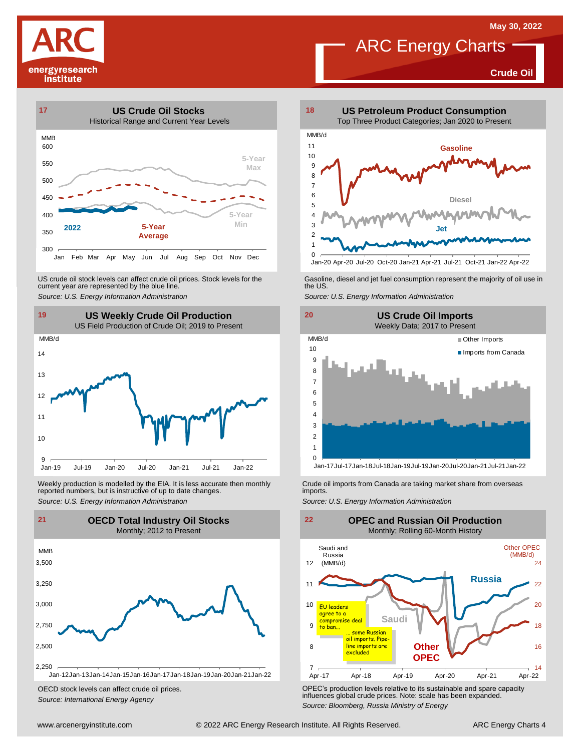**Crude Oil**





US crude oil stock levels can affect crude oil prices. Stock levels for the current year are represented by the blue line. US crude oil stock levels can affect crude oil prices. Stock levels for the Gasoline, diesel and jet fuel consumption represent the majority of oil use in<br>current year are represented by the blue line.<br>Source: U.S. Energy



Weekly production is modelled by the EIA. It is less accurate then monthly reported numbers, but is instructive of up to date changes. Weekly production is modelled by the EIA. It is less accurate then monthly Crude oil imports from Canada are taking market share from overseas<br>
reported numbers, but is instructive of up to date changes.<br>
Source: U.S. Ener



OECD stock levels can affect crude oil prices. *Source: International Energy Agency*



Jan-20 Apr-20 Jul-20 Oct-20 Jan-21 Apr-21 Jul-21 Oct-21 Jan-22 Apr-22





OPEC's production levels relative to its sustainable and spare capacity influences global crude prices. Note: scale has been expanded. *Source: Bloomberg, Russia Ministry of Energy*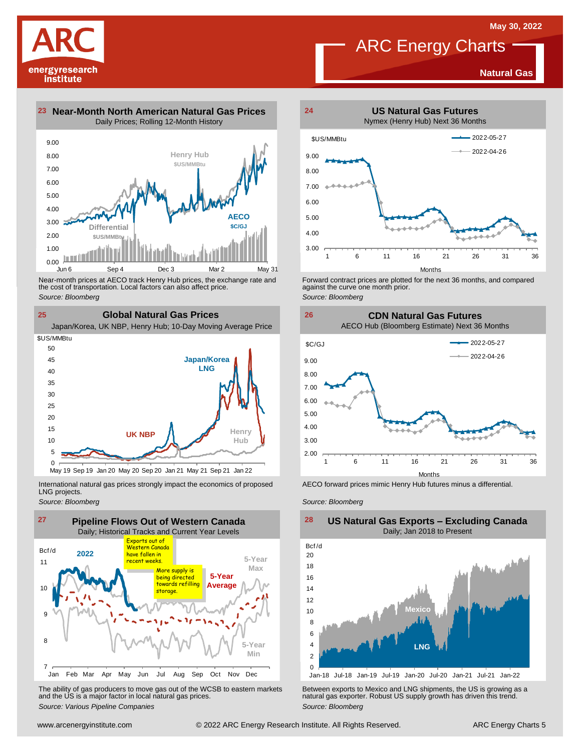**Natural Gas**

## ARC Energy Charts



institute

**23 Near-Month North American Natural Gas Prices 24** Daily Prices; Rolling 12-Month History



the cost of transportation. Local factors can also affect price. *Source: Bloomberg*

**25 Global Natural Gas Prices** Near-month prices at AECO track Henry Hub prices, the exchange rate and<br>the cost of transportation. Local factors can also affect price.<br>Source: Bloomberg<br>**CIObal Natural Gas Prices**<br>Japan/Korea, UK NBP, Henry Hub; 10-Day **Japan/Korea LNG Henry Hub UK NBP** 10 15 20 25 30 35  $4<sub>0</sub>$ 45 50 \$US/MMBtu

International natural gas prices strongly impact the economics of proposed LNG projects.

May 19 Sep 19 Jan 20 May 20 Sep 20 Jan 21 May 21 Sep 21 Jan 22

*Source: Bloomberg*

 $\Omega$ 5



The ability of gas producers to move gas out of the WCSB to eastern markets and the US is <sup>a</sup> major factor in local natural gas prices. The ability of gas producers to move gas out of the WCSB to eastern markets<br>and the US is a major factor in local natural gas prices.<br>Source: Various Pipeline Companies<br>Source: Bloomberg<br>Source: Bloomberg



Forward contract prices are plotted for the next <sup>36</sup> months, and compared against the curve one month prior. *Source: Bloomberg*

**26 CDN Natural Gas Futures**

AECO Hub (Bloomberg Estimate) Next 36 Months



AECO forward prices mimic Henry Hub futures minus a differential.

*Source: Bloomberg*



#### **US Natural Gas Exports – Excluding Canada** Daily; Jan 2018 to Present  $\frac{28}{\text{Bcf/d}}$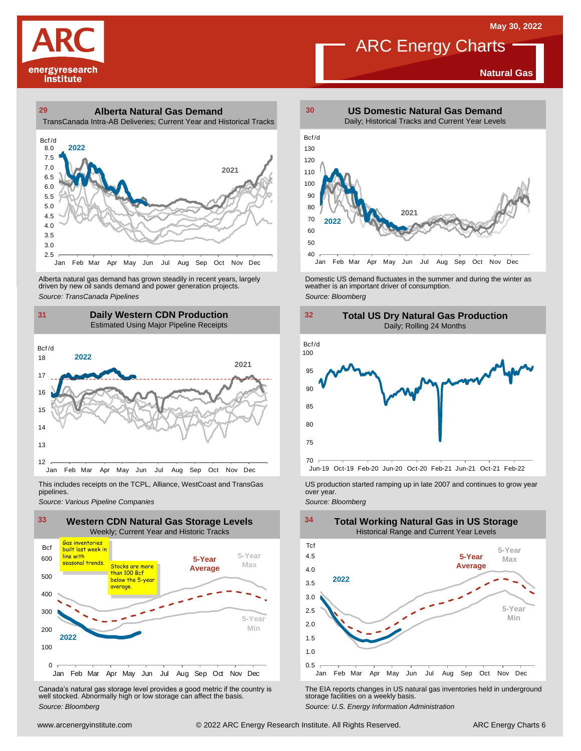**Natural Gas**



#### **29 30 Alberta Natural Gas Demand** TransCanada Intra-AB Deliveries; Current Year and Historical Tracks



Alberta natural gas demand has grown steadily in recent years, largely<br>
driven by new oil sands demand and power generation projects.<br>
Source: *Bloomberg*<br>
Source: *Bloomberg*<br>
Daily Western CDN Production<br>
Estimated Using Alberta natural gas demand has grown steadily in recent years, largely **Domestic US demand fluctuates in the summer** and during the winter as driven by new oil sands demand and power generation projects.<br>Ariven by new oil

### **31 32 Daily Western CDN Production** Estimated Using Major Pipeline Receipts  $\frac{31}{\text{Bcf/d}}$



This includes receipts on the TCPL, Alliance, WestCoast and TransGas pipelines.



WE Canada's natural gas storage level provides a good metric if the country is<br>
Canada's natural gas storage level provides a good metric if the country is<br>
Well stocked. Abnormally high or low storage can affect the basi Canada's natural gas storage level provides <sup>a</sup> good metric if the country is well stocked. Abnormally high or low storage can affect the basis. *Source: Bloomberg*



ARC Energy Charts





*Source: Pipelines Pipelines Pipelines Pipelines Pipelines Companies Pipeline Pipelines Pipelines Pipelines Pipelines Companies Pipeline Companies Pipeline Companies Pipeline Companies Pip* 



The EIA reports changes in US natural gas inventories held in underground storage facilities on <sup>a</sup> weekly basis.

*Source: U.S. Energy Information Administration*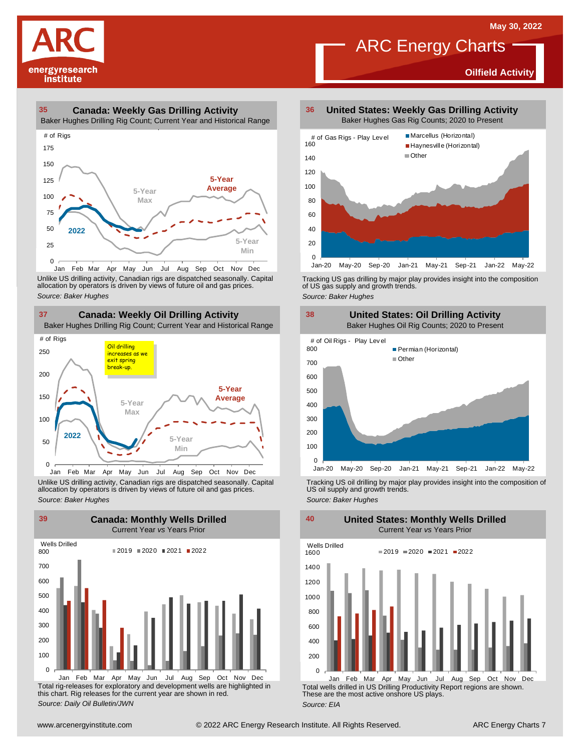**Oilfield Activity**



#### **35 36 Canada: Weekly Gas Drilling Activity**

Baker Hughes Drilling Rig Count; Current Year and Historical Range



Unlike US drilling activity, Canadian rigs are dispatched seasonally. Capital<br>allocation by operators is driven by views of future oil and gas prices. 0<br>Jan Feb Mar<br>Unlike US drilling activi<br>allocation by operators<br>Source: Baker Hughes



Unlike US drilling activity, Canadian rigs are dispatched seasonally. Capital Tracking US oil drilling by major play provides insight into the composition of<br>allocation by operators is driven by views of future oil and gas



Total rig-releases for exploratory and development wells are highlighted in this chart. Rig releases for the current year are shown in red. *Source: Daily Oil Bulletin/JWN* Jan Feb Mar Apr May Jun Jul Aug Sep Oct Nov Dec

**United States: Weekly Gas Drilling Activity** Baker Hughes Gas Rig Counts; 2020 to Present

ARC Energy Charts



Tracking US gas drilling by major play provides insight into the composition of US gas supply and growth trends.

*Source: Baker Hughes*



Tracking US oil drilling by major play provides insight into the composition of US oil supply and growth trends. *Source: Baker Hughes*

**United States: Monthly Wells Drilled**

0 200 400 600 800 1000 1200 1400 1600 Wells Drilled  $2019 = 2020 = 2021 = 2022$ 

Total wells drilled in US Drilling Productivity Report regions are shown. These are the most active onshore US plays. *Source: EIA* Jan Feb Mar Apr May Jun Jul Aug Sep Oct Nov Dec